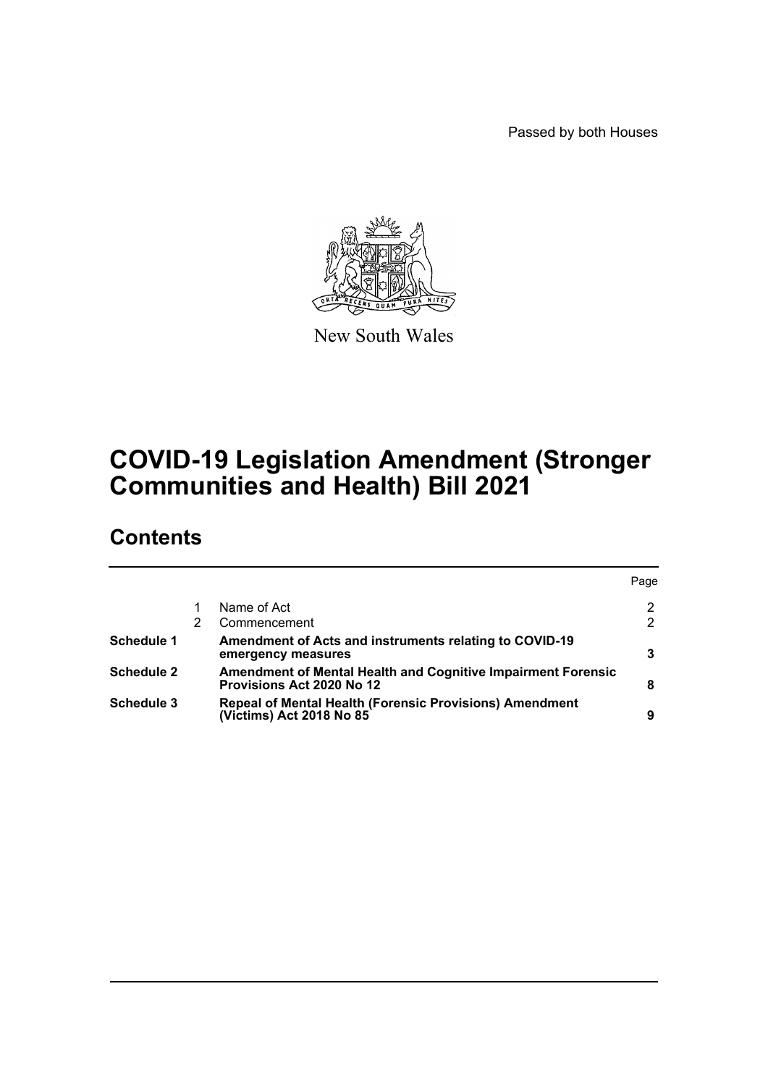Passed by both Houses



New South Wales

# **COVID-19 Legislation Amendment (Stronger Communities and Health) Bill 2021**

# **Contents**

|                   |                                                                                                         | Page |
|-------------------|---------------------------------------------------------------------------------------------------------|------|
|                   | Name of Act                                                                                             | 2    |
|                   | Commencement                                                                                            | 2    |
| <b>Schedule 1</b> | Amendment of Acts and instruments relating to COVID-19<br>emergency measures                            |      |
| <b>Schedule 2</b> | <b>Amendment of Mental Health and Cognitive Impairment Forensic</b><br><b>Provisions Act 2020 No 12</b> | 8    |
| <b>Schedule 3</b> | Repeal of Mental Health (Forensic Provisions) Amendment<br>(Victims) Act 2018 No 85                     | 9    |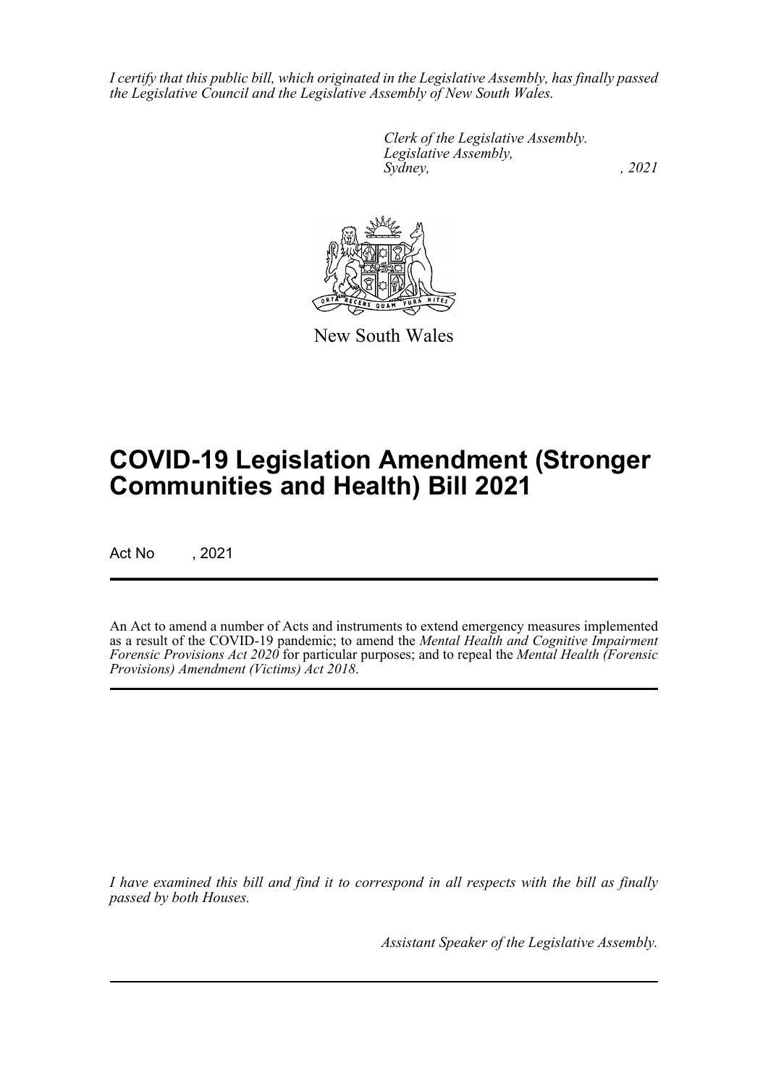*I certify that this public bill, which originated in the Legislative Assembly, has finally passed the Legislative Council and the Legislative Assembly of New South Wales.*

> *Clerk of the Legislative Assembly. Legislative Assembly, Sydney, , 2021*



New South Wales

# **COVID-19 Legislation Amendment (Stronger Communities and Health) Bill 2021**

Act No , 2021

An Act to amend a number of Acts and instruments to extend emergency measures implemented as a result of the COVID-19 pandemic; to amend the *Mental Health and Cognitive Impairment Forensic Provisions Act 2020* for particular purposes; and to repeal the *Mental Health (Forensic Provisions) Amendment (Victims) Act 2018*.

*I have examined this bill and find it to correspond in all respects with the bill as finally passed by both Houses.*

*Assistant Speaker of the Legislative Assembly.*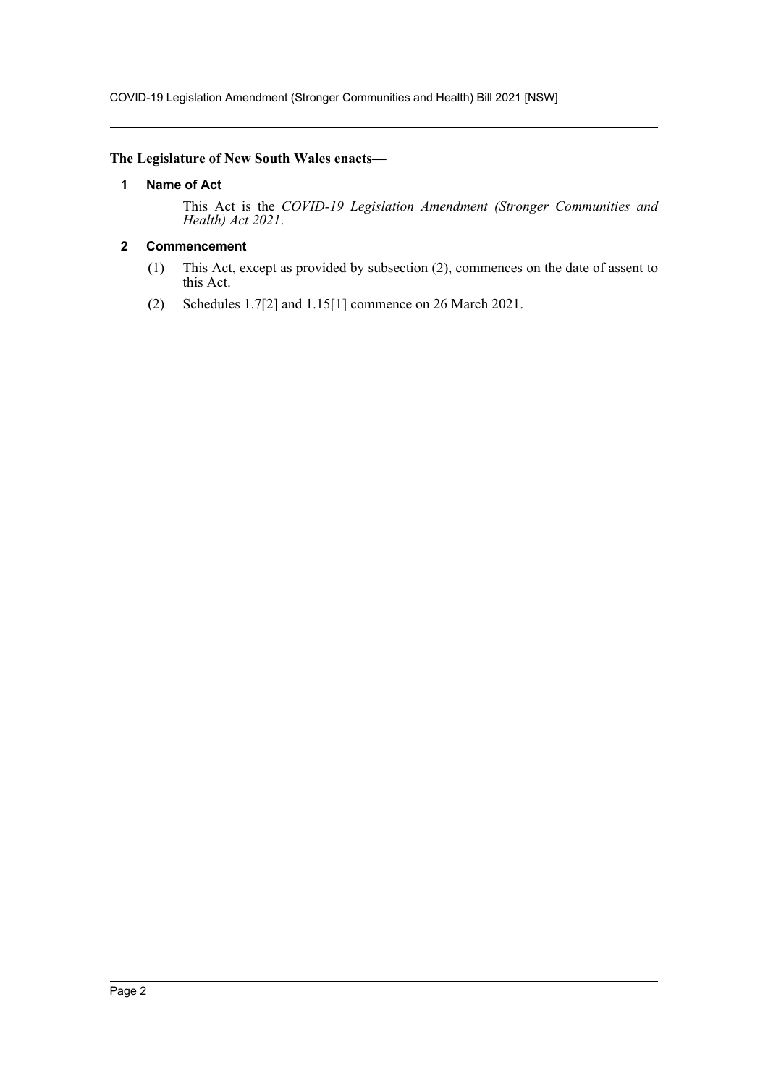COVID-19 Legislation Amendment (Stronger Communities and Health) Bill 2021 [NSW]

### <span id="page-2-0"></span>**The Legislature of New South Wales enacts—**

#### **1 Name of Act**

This Act is the *COVID-19 Legislation Amendment (Stronger Communities and Health) Act 2021*.

### <span id="page-2-1"></span>**2 Commencement**

- (1) This Act, except as provided by subsection (2), commences on the date of assent to this Act.
- (2) Schedules 1.7[2] and 1.15[1] commence on 26 March 2021.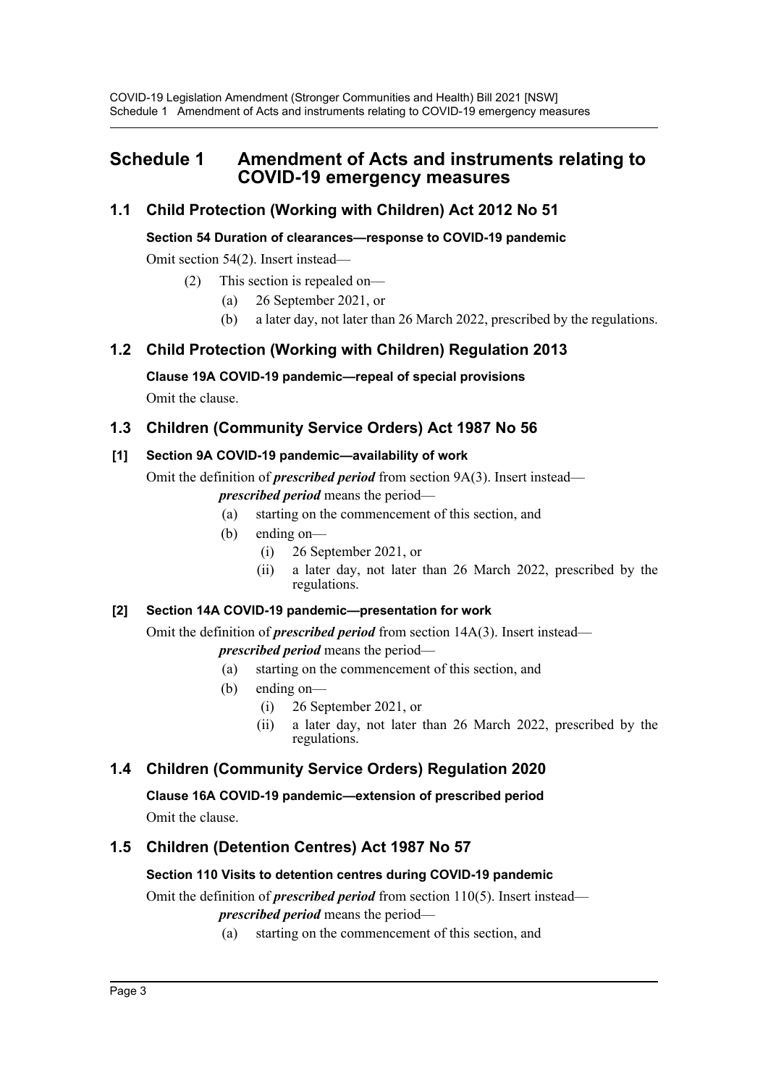# <span id="page-3-0"></span>**Schedule 1 Amendment of Acts and instruments relating to COVID-19 emergency measures**

# **1.1 Child Protection (Working with Children) Act 2012 No 51**

### **Section 54 Duration of clearances—response to COVID-19 pandemic**

Omit section 54(2). Insert instead—

- (2) This section is repealed on—
	- (a) 26 September 2021, or
	- (b) a later day, not later than 26 March 2022, prescribed by the regulations.

# **1.2 Child Protection (Working with Children) Regulation 2013**

### **Clause 19A COVID-19 pandemic—repeal of special provisions**

Omit the clause.

# **1.3 Children (Community Service Orders) Act 1987 No 56**

# **[1] Section 9A COVID-19 pandemic—availability of work**

Omit the definition of *prescribed period* from section 9A(3). Insert instead—

- *prescribed period* means the period—
	- (a) starting on the commencement of this section, and
- (b) ending on—
	- (i) 26 September 2021, or
	- (ii) a later day, not later than 26 March 2022, prescribed by the regulations.

# **[2] Section 14A COVID-19 pandemic—presentation for work**

Omit the definition of *prescribed period* from section 14A(3). Insert instead—

*prescribed period* means the period—

- (a) starting on the commencement of this section, and
- (b) ending on—
	- (i) 26 September 2021, or
	- (ii) a later day, not later than 26 March 2022, prescribed by the regulations.

# **1.4 Children (Community Service Orders) Regulation 2020**

**Clause 16A COVID-19 pandemic—extension of prescribed period** Omit the clause.

# **1.5 Children (Detention Centres) Act 1987 No 57**

# **Section 110 Visits to detention centres during COVID-19 pandemic**

Omit the definition of *prescribed period* from section 110(5). Insert instead *prescribed period* means the period—

(a) starting on the commencement of this section, and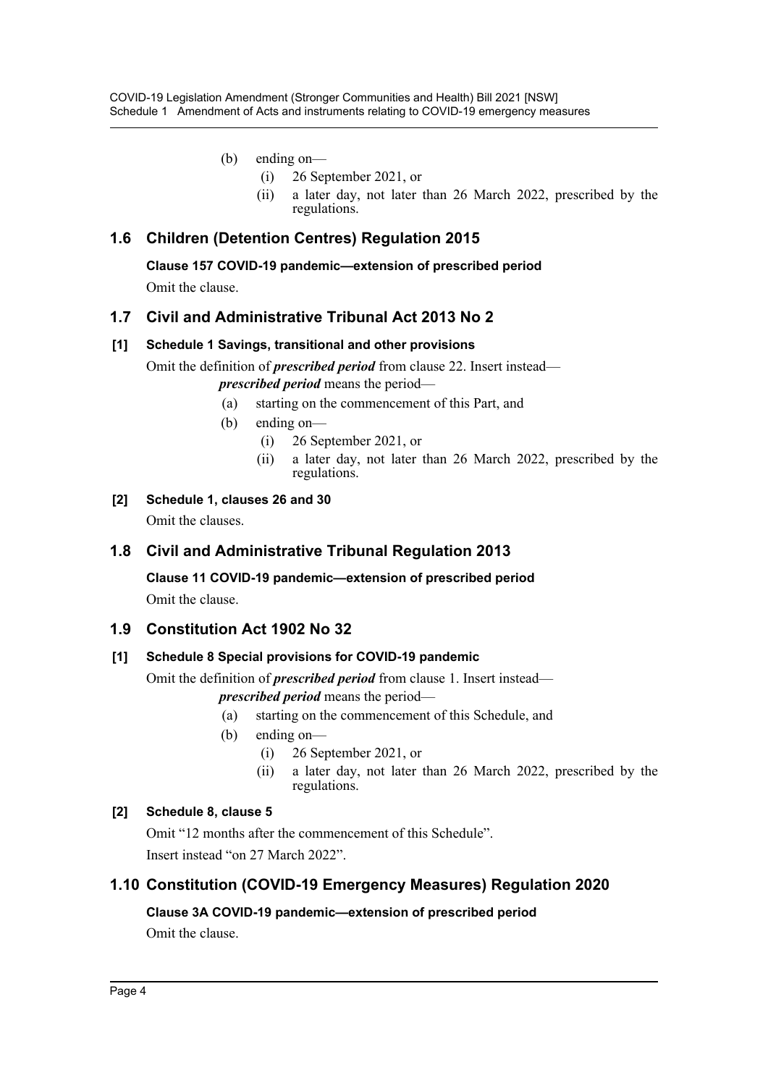- (b) ending on—
	- (i) 26 September 2021, or
	- (ii) a later day, not later than 26 March 2022, prescribed by the regulations.

# **1.6 Children (Detention Centres) Regulation 2015**

**Clause 157 COVID-19 pandemic—extension of prescribed period**

Omit the clause.

# **1.7 Civil and Administrative Tribunal Act 2013 No 2**

### **[1] Schedule 1 Savings, transitional and other provisions**

Omit the definition of *prescribed period* from clause 22. Insert instead *prescribed period* means the period—

- (a) starting on the commencement of this Part, and
- (b) ending on—
	- (i) 26 September 2021, or
	- (ii) a later day, not later than 26 March 2022, prescribed by the regulations.
- **[2] Schedule 1, clauses 26 and 30**

Omit the clauses.

# **1.8 Civil and Administrative Tribunal Regulation 2013**

**Clause 11 COVID-19 pandemic—extension of prescribed period**

Omit the clause.

# **1.9 Constitution Act 1902 No 32**

### **[1] Schedule 8 Special provisions for COVID-19 pandemic**

Omit the definition of *prescribed period* from clause 1. Insert instead—

- *prescribed period* means the period—
- (a) starting on the commencement of this Schedule, and
- (b) ending on—
	- (i) 26 September 2021, or
	- (ii) a later day, not later than 26 March 2022, prescribed by the regulations.

# **[2] Schedule 8, clause 5**

Omit "12 months after the commencement of this Schedule". Insert instead "on 27 March 2022".

# **1.10 Constitution (COVID-19 Emergency Measures) Regulation 2020**

# **Clause 3A COVID-19 pandemic—extension of prescribed period**

Omit the clause.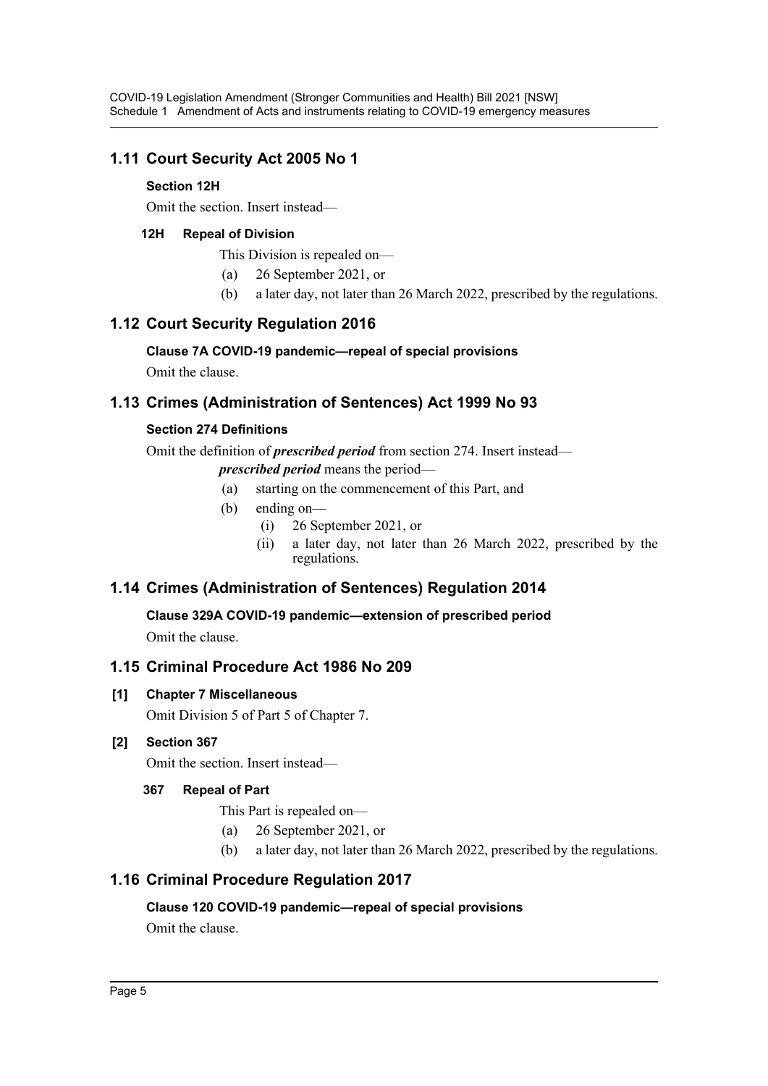# **1.11 Court Security Act 2005 No 1**

### **Section 12H**

Omit the section. Insert instead—

### **12H Repeal of Division**

This Division is repealed on—

- (a) 26 September 2021, or
- (b) a later day, not later than 26 March 2022, prescribed by the regulations.

# **1.12 Court Security Regulation 2016**

### **Clause 7A COVID-19 pandemic—repeal of special provisions**

Omit the clause.

# **1.13 Crimes (Administration of Sentences) Act 1999 No 93**

### **Section 274 Definitions**

Omit the definition of *prescribed period* from section 274. Insert instead—

*prescribed period* means the period—

- (a) starting on the commencement of this Part, and
- (b) ending on—
	- (i) 26 September 2021, or
	- (ii) a later day, not later than 26 March 2022, prescribed by the regulations.

# **1.14 Crimes (Administration of Sentences) Regulation 2014**

**Clause 329A COVID-19 pandemic—extension of prescribed period** Omit the clause.

# **1.15 Criminal Procedure Act 1986 No 209**

### **[1] Chapter 7 Miscellaneous**

Omit Division 5 of Part 5 of Chapter 7.

# **[2] Section 367**

Omit the section. Insert instead—

# **367 Repeal of Part**

- This Part is repealed on—
- (a) 26 September 2021, or
- (b) a later day, not later than 26 March 2022, prescribed by the regulations.

# **1.16 Criminal Procedure Regulation 2017**

### **Clause 120 COVID-19 pandemic—repeal of special provisions**

Omit the clause.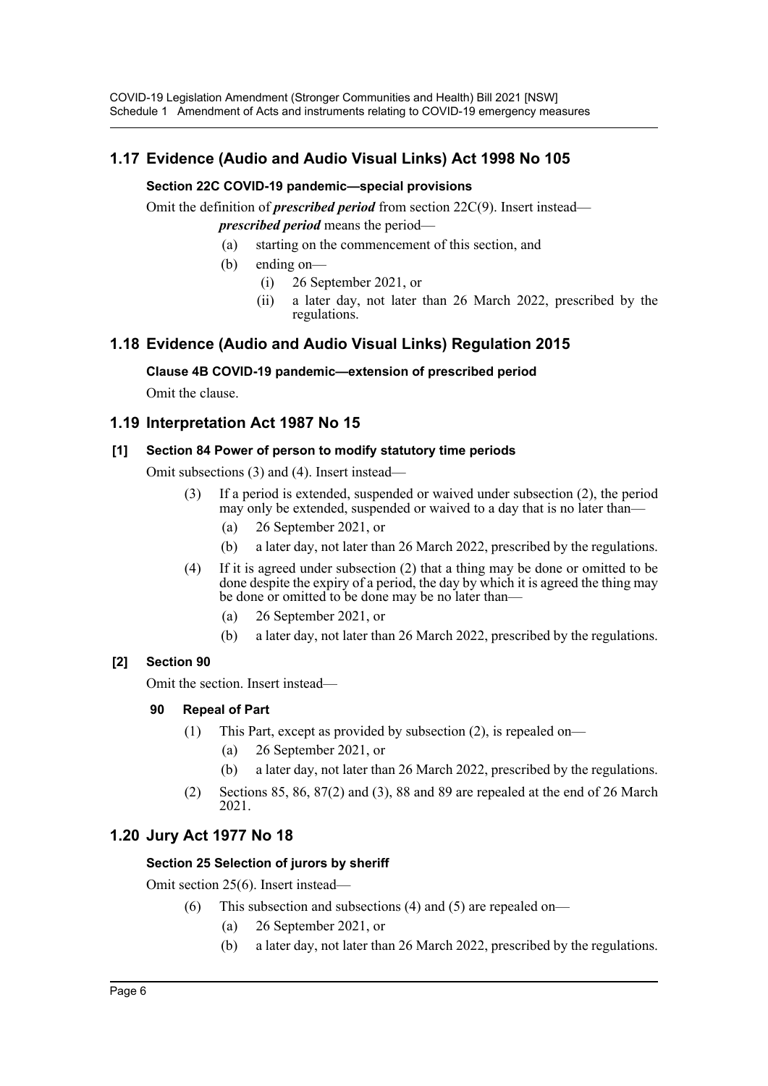# **1.17 Evidence (Audio and Audio Visual Links) Act 1998 No 105**

#### **Section 22C COVID-19 pandemic—special provisions**

Omit the definition of *prescribed period* from section 22C(9). Insert instead *prescribed period* means the period—

- (a) starting on the commencement of this section, and
- (b) ending on—
	- (i) 26 September 2021, or
	- (ii) a later day, not later than 26 March 2022, prescribed by the regulations.

# **1.18 Evidence (Audio and Audio Visual Links) Regulation 2015**

#### **Clause 4B COVID-19 pandemic—extension of prescribed period**

Omit the clause.

### **1.19 Interpretation Act 1987 No 15**

#### **[1] Section 84 Power of person to modify statutory time periods**

Omit subsections (3) and (4). Insert instead—

- (3) If a period is extended, suspended or waived under subsection (2), the period may only be extended, suspended or waived to a day that is no later than—
	- (a) 26 September 2021, or
	- (b) a later day, not later than 26 March 2022, prescribed by the regulations.
- (4) If it is agreed under subsection (2) that a thing may be done or omitted to be done despite the expiry of a period, the day by which it is agreed the thing may be done or omitted to be done may be no later than—
	- (a) 26 September 2021, or
	- (b) a later day, not later than 26 March 2022, prescribed by the regulations.

### **[2] Section 90**

Omit the section. Insert instead—

### **90 Repeal of Part**

- (1) This Part, except as provided by subsection (2), is repealed on—
	- (a) 26 September 2021, or
	- (b) a later day, not later than 26 March 2022, prescribed by the regulations.
- (2) Sections 85, 86, 87(2) and (3), 88 and 89 are repealed at the end of 26 March 2021.

# **1.20 Jury Act 1977 No 18**

### **Section 25 Selection of jurors by sheriff**

Omit section 25(6). Insert instead—

- (6) This subsection and subsections (4) and (5) are repealed on—
	- (a) 26 September 2021, or
	- (b) a later day, not later than 26 March 2022, prescribed by the regulations.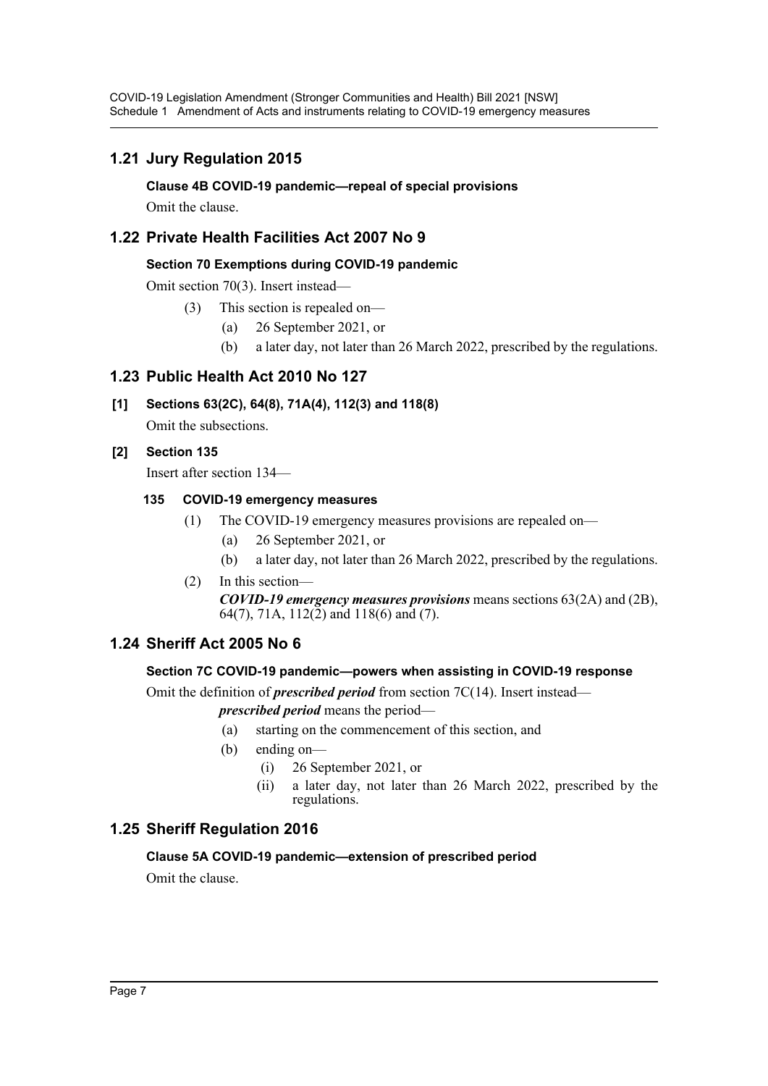# **1.21 Jury Regulation 2015**

**Clause 4B COVID-19 pandemic—repeal of special provisions**

Omit the clause.

# **1.22 Private Health Facilities Act 2007 No 9**

### **Section 70 Exemptions during COVID-19 pandemic**

Omit section 70(3). Insert instead—

- (3) This section is repealed on—
	- (a) 26 September 2021, or
	- (b) a later day, not later than 26 March 2022, prescribed by the regulations.

# **1.23 Public Health Act 2010 No 127**

# **[1] Sections 63(2C), 64(8), 71A(4), 112(3) and 118(8)**

Omit the subsections.

### **[2] Section 135**

Insert after section 134—

### **135 COVID-19 emergency measures**

- (1) The COVID-19 emergency measures provisions are repealed on—
	- (a) 26 September 2021, or
	- (b) a later day, not later than 26 March 2022, prescribed by the regulations.

### (2) In this section—

*COVID-19 emergency measures provisions* means sections 63(2A) and (2B), 64(7), 71A, 112(2) and 118(6) and (7).

# **1.24 Sheriff Act 2005 No 6**

### **Section 7C COVID-19 pandemic—powers when assisting in COVID-19 response**

Omit the definition of *prescribed period* from section 7C(14). Insert instead—

*prescribed period* means the period—

- (a) starting on the commencement of this section, and
- (b) ending on—
	- (i) 26 September 2021, or
	- (ii) a later day, not later than 26 March 2022, prescribed by the regulations.

# **1.25 Sheriff Regulation 2016**

### **Clause 5A COVID-19 pandemic—extension of prescribed period**

Omit the clause.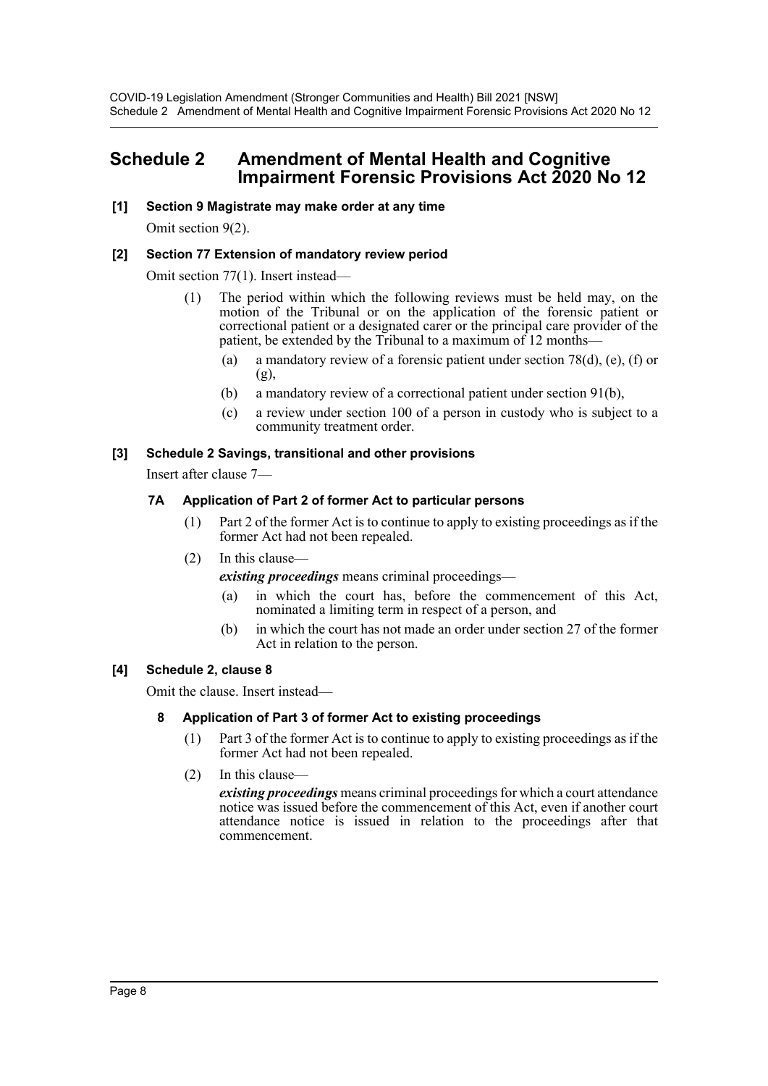# <span id="page-8-0"></span>**Schedule 2 Amendment of Mental Health and Cognitive Impairment Forensic Provisions Act 2020 No 12**

#### **[1] Section 9 Magistrate may make order at any time**

Omit section 9(2).

#### **[2] Section 77 Extension of mandatory review period**

Omit section 77(1). Insert instead—

- (1) The period within which the following reviews must be held may, on the motion of the Tribunal or on the application of the forensic patient or correctional patient or a designated carer or the principal care provider of the patient, be extended by the Tribunal to a maximum of 12 months—
	- (a) a mandatory review of a forensic patient under section 78(d), (e), (f) or (g),
	- (b) a mandatory review of a correctional patient under section 91(b),
	- (c) a review under section 100 of a person in custody who is subject to a community treatment order.

#### **[3] Schedule 2 Savings, transitional and other provisions**

Insert after clause 7—

#### **7A Application of Part 2 of former Act to particular persons**

- (1) Part 2 of the former Act is to continue to apply to existing proceedings as if the former Act had not been repealed.
- (2) In this clause—

*existing proceedings* means criminal proceedings—

- (a) in which the court has, before the commencement of this Act, nominated a limiting term in respect of a person, and
- (b) in which the court has not made an order under section 27 of the former Act in relation to the person.

#### **[4] Schedule 2, clause 8**

Omit the clause. Insert instead—

#### **8 Application of Part 3 of former Act to existing proceedings**

- (1) Part 3 of the former Act is to continue to apply to existing proceedings as if the former Act had not been repealed.
- (2) In this clause—

*existing proceedings* means criminal proceedings for which a court attendance notice was issued before the commencement of this Act, even if another court attendance notice is issued in relation to the proceedings after that commencement.